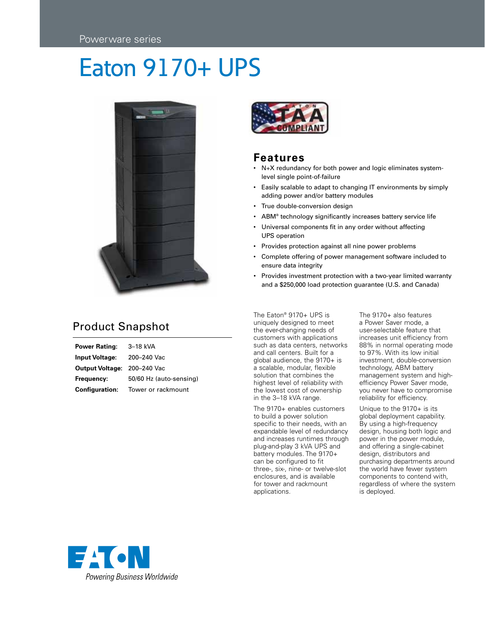# Eaton 9170+ UPS



### Product Snapshot

**Power Rating:** 3–18 kVA **Input Voltage:** 200–240 Vac **Output Voltage:** 200–240 Vac **Frequency:** 50/60 Hz (auto-sensing) **Configuration:** Tower or rackmount



#### **Features**

- N+X redundancy for both power and logic eliminates systemlevel single point-of-failure
- • Easily scalable to adapt to changing IT environments by simply adding power and/or battery modules
- True double-conversion design
- ABM<sup>®</sup> technology significantly increases battery service life
- • Universal components fit in any order without affecting UPS operation
- Provides protection against all nine power problems
- • Complete offering of power management software included to ensure data integrity
- Provides investment protection with a two-year limited warranty and a \$250,000 load protection guarantee (U.S. and Canada)

The Eaton® 9170+ UPS is uniquely designed to meet the ever-changing needs of customers with applications such as data centers, networks and call centers. Built for a global audience, the 9170+ is a scalable, modular, flexible solution that combines the highest level of reliability with the lowest cost of ownership in the 3–18 kVA range.

The 9170+ enables customers to build a power solution specific to their needs, with an expandable level of redundancy and increases runtimes through plug-and-play 3 kVA UPS and battery modules. The 9170+ can be configured to fit three-, six-, nine- or twelve-slot enclosures, and is available for tower and rackmount applications.

The 9170+ also features a Power Saver mode, a user-selectable feature that increases unit efficiency from 88% in normal operating mode to 97%. With its low initial investment, double-conversion technology, ABM battery management system and highefficiency Power Saver mode, you never have to compromise reliability for efficiency.

Unique to the 9170+ is its global deployment capability. By using a high-frequency design, housing both logic and power in the power module, and offering a single-cabinet design, distributors and purchasing departments around the world have fewer system components to contend with, regardless of where the system is deployed.

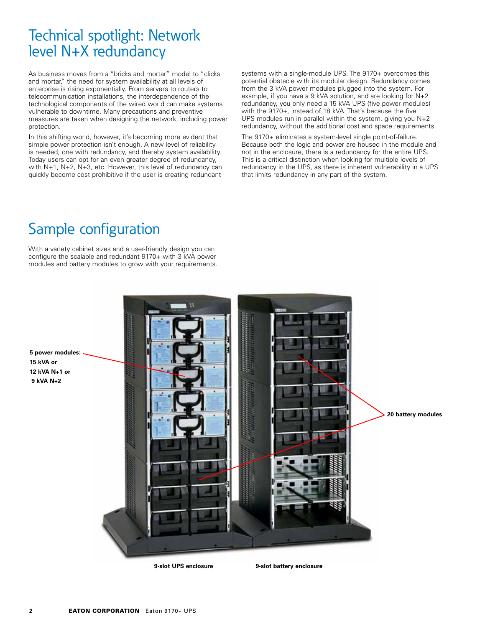### Technical spotlight: Network level N+X redundancy

As business moves from a "bricks and mortar" model to "clicks and mortar," the need for system availability at all levels of enterprise is rising exponentially. From servers to routers to telecommunication installations, the interdependence of the technological components of the wired world can make systems vulnerable to downtime. Many precautions and preventive measures are taken when designing the network, including power protection.

In this shifting world, however, it's becoming more evident that simple power protection isn't enough. A new level of reliability is needed, one with redundancy, and thereby system availability. Today users can opt for an even greater degree of redundancy, with N+1, N+2, N+3, etc. However, this level of redundancy can quickly become cost prohibitive if the user is creating redundant

systems with a single-module UPS. The 9170+ overcomes this potential obstacle with its modular design. Redundancy comes from the 3 kVA power modules plugged into the system. For example, if you have a 9 kVA solution, and are looking for N+2 redundancy, you only need a 15 kVA UPS (five power modules) with the 9170+, instead of 18 kVA. That's because the five UPS modules run in parallel within the system, giving you N+2 redundancy, without the additional cost and space requirements.

The 9170+ eliminates a system-level single point-of-failure. Because both the logic and power are housed in the module and not in the enclosure, there is a redundancy for the entire UPS. This is a critical distinction when looking for multiple levels of redundancy in the UPS, as there is inherent vulnerability in a UPS that limits redundancy in any part of the system.

### Sample configuration

With a variety cabinet sizes and a user-friendly design you can configure the scalable and redundant 9170+ with 3 kVA power modules and battery modules to grow with your requirements.



**15 kVA or 12 kVA N+1 or 9 kVA N+2**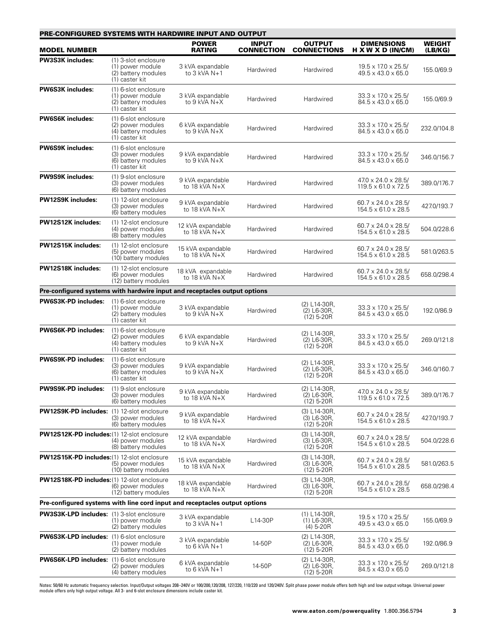| <b>PRE-CONFIGURED SYSTEMS WITH HARDWIRE INPUT AND OUTPUT</b>               |                                                                                    |                                      |                                   |                                               |                                                                    |                          |
|----------------------------------------------------------------------------|------------------------------------------------------------------------------------|--------------------------------------|-----------------------------------|-----------------------------------------------|--------------------------------------------------------------------|--------------------------|
| <b>MODEL NUMBER</b>                                                        |                                                                                    | <b>POWER</b><br><b>RATING</b>        | <b>INPUT</b><br><b>CONNECTION</b> | <b>OUTPUT</b><br><b>CONNECTIONS</b>           | <b>DIMENSIONS</b><br>H X W X D (IN/CM)                             | <b>WEIGHT</b><br>(LB/KG) |
| <b>PW3S3K includes:</b>                                                    | (1) 3-slot enclosure<br>(1) power module<br>(2) battery modules<br>(1) caster kit  | 3 kVA expandable<br>to 3 kVA N+1     | Hardwired                         | Hardwired                                     | $19.5 \times 17.0 \times 25.5/$<br>49.5 x 43.0 x 65.0              | 155.0/69.9               |
| <b>PW6S3K includes:</b>                                                    | (1) 6-slot enclosure<br>(1) power module<br>(2) battery modules<br>(1) caster kit  | 3 kVA expandable<br>to $9$ kVA N+X   | Hardwired                         | Hardwired                                     | $33.3 \times 17.0 \times 25.5/$<br>84.5 x 43.0 x 65.0              | 155.0/69.9               |
| <b>PW6S6K includes:</b>                                                    | (1) 6-slot enclosure<br>(2) power modules<br>(4) battery modules<br>(1) caster kit | 6 kVA expandable<br>to 9 kVA N+X     | Hardwired                         | Hardwired                                     | 33.3 x 17.0 x 25.5/<br>$84.5 \times 43.0 \times 65.0$              | 232.0/104.8              |
| <b>PW6S9K includes:</b>                                                    | (1) 6-slot enclosure<br>(3) power modules<br>(6) battery modules<br>(1) caster kit | 9 kVA expandable<br>to $9$ kVA N+X   | Hardwired                         | Hardwired                                     | 33.3 x 17.0 x 25.5/<br>$84.5 \times 43.0 \times 65.0$              | 346.0/156.7              |
| <b>PW9S9K includes:</b>                                                    | (1) 9-slot enclosure<br>(3) power modules<br>(6) battery modules                   | 9 kVA expandable<br>to 18 kVA N+X    | Hardwired                         | Hardwired                                     | 47.0 x 24.0 x 28.5/<br>$119.5 \times 61.0 \times 72.5$             | 389.0/176.7              |
| <b>PW12S9K includes:</b>                                                   | (1) 12-slot enclosure<br>(3) power modules<br>(6) battery modules                  | 9 kVA expandable<br>to 18 kVA $N+X$  | Hardwired                         | Hardwired                                     | $60.7 \times 24.0 \times 28.5$<br>$154.5 \times 61.0 \times 28.5$  | 427.0/193.7              |
| <b>PW12S12K includes:</b>                                                  | (1) 12-slot enclosure<br>(4) power modules<br>(8) battery modules                  | 12 kVA expandable<br>to 18 kVA $N+X$ | Hardwired                         | Hardwired                                     | $60.7 \times 24.0 \times 28.5$<br>$154.5 \times 61.0 \times 28.5$  | 504.0/228.6              |
| PW12S15K includes:                                                         | (1) 12-slot enclosure<br>(5) power modules<br>(10) battery modules                 | 15 kVA expandable<br>to 18 kVA $N+X$ | Hardwired                         | Hardwired                                     | 60.7 x 24.0 x 28.5/<br>$154.5 \times 61.0 \times 28.5$             | 581.0/263.5              |
| <b>PW12S18K includes:</b>                                                  | (1) 12-slot enclosure<br>(6) power modules<br>(12) battery modules                 | 18 kVA expandable<br>to 18 kVA $N+X$ | Hardwired                         | Hardwired                                     | 60.7 x 24.0 x 28.5/<br>$154.5 \times 61.0 \times 28.5$             | 658.0/298.4              |
| Pre-configured systems with hardwire input and receptacles output options  |                                                                                    |                                      |                                   |                                               |                                                                    |                          |
| <b>PW6S3K-PD includes:</b>                                                 | (1) 6-slot enclosure<br>(1) power module<br>(2) battery modules<br>(1) caster kit  | 3 kVA expandable<br>to 9 kVA N+X     | Hardwired                         | (2) L14-30R,<br>(2) L6-30R,<br>$(12)$ 5-20R   | 33.3 x 17.0 x 25.5/<br>$84.5 \times 43.0 \times 65.0$              | 192.0/86.9               |
| <b>PW6S6K-PD includes:</b>                                                 | (1) 6-slot enclosure<br>(2) power modules<br>(4) battery modules<br>(1) caster kit | 6 kVA expandable<br>to 9 kVA N+X     | Hardwired                         | (2) L14-30R,<br>(2) L6-30R,<br>$(12)$ 5-20R   | $33.3 \times 17.0 \times 25.5$<br>$84.5 \times 43.0 \times 65.0$   | 269.0/121.8              |
| PW6S9K-PD includes:                                                        | (1) 6-slot enclosure<br>(3) power modules<br>(6) battery modules<br>(1) caster kit | 9 kVA expandable<br>to 9 kVA N+X     | Hardwired                         | (2) L14-30R,<br>(2) L6-30R,<br>$(12)$ 5-20R   | $33.3 \times 17.0 \times 25.5$<br>84.5 x 43.0 x 65.0               | 346.0/160.7              |
| <b>PW9S9K-PD includes:</b>                                                 | (1) 9-slot enclosure<br>(3) power modules<br>(6) battery modules                   | 9 kVA expandable<br>to 18 kVA $N+X$  | Hardwired                         | (2) L14-30R,<br>(2) L6-30R,<br>$(12)$ 5-20R   | $47.0 \times 24.0 \times 28.5/$<br>$119.5 \times 61.0 \times 72.5$ | 389.0/176.7              |
| PW12S9K-PD includes: (1) 12-slot enclosure                                 | (3) power modules<br>(6) battery modules                                           | 9 kVA expandable<br>to 18 kVA N+X    | Hardwired                         | (3) L14-30R,<br>(3) L6-30R,<br>$(12)$ 5-20R   | $60.7 \times 24.0 \times 28.5$<br>$154.5 \times 61.0 \times 28.5$  | 427.0/193.7              |
| <b>PW12S12K-PD includes:</b> (1) 12-slot enclosure                         | (4) power modules<br>(8) battery modules                                           | 12 kVA expandable<br>to 18 kVA $N+X$ | Hardwired                         | (3) L14-30R,<br>(3) L6-30R,<br>$(12)$ 5-20R   | $60.7 \times 24.0 \times 28.5$<br>$154.5 \times 61.0 \times 28.5$  | 504.0/228.6              |
| <b>PW12S15K-PD includes:</b> (1) 12-slot enclosure                         | (5) power modules<br>(10) battery modules                                          | 15 kVA expandable<br>to 18 kVA N+X   | Hardwired                         | (3) L14-30R,<br>(3) L6-30R,<br>$(12)$ 5-20R   | $60.7 \times 24.0 \times 28.5$<br>$154.5 \times 61.0 \times 28.5$  | 581.0/263.5              |
| PW12S18K-PD includes: (1) 12-slot enclosure                                | (6) power modules<br>(12) battery modules                                          | 18 kVA expandable<br>to 18 kVA N+X   | Hardwired                         | (3) L14-30R,<br>(3) L6-30R,<br>$(12)$ 5-20R   | $60.7 \times 24.0 \times 28.5$<br>$154.5 \times 61.0 \times 28.5$  | 658.0/298.4              |
| Pre-configured systems with line cord input and receptacles output options |                                                                                    |                                      |                                   |                                               |                                                                    |                          |
| <b>PW3S3K-LPD includes:</b> (1) 3-slot enclosure                           | (1) power module<br>(2) battery modules                                            | 3 kVA expandable<br>to 3 kVA N+1     | L14-30P                           | (1) L14-30R,<br>$(1)$ L6-30R,<br>$(4)$ 5-20R  | $19.5 \times 17.0 \times 25.5/$<br>$49.5 \times 43.0 \times 65.0$  | 155.0/69.9               |
| <b>PW6S3K-LPD includes:</b> (1) 6-slot enclosure                           | (1) power module<br>(2) battery modules                                            | 3 kVA expandable<br>to 6 kVA N+1     | 14-50P                            | (2) L14-30R,<br>(2) L6-30R,<br>$(12)$ 5-20R   | 33.3 x 17.0 x 25.5/<br>$84.5 \times 43.0 \times 65.0$              | 192.0/86.9               |
| PW6S6K-LPD includes: (1) 6-slot enclosure                                  | (2) power modules<br>(4) battery modules                                           | 6 kVA expandable<br>to 6 kVA $N+1$   | 14-50P                            | (2) L14-30R,<br>$(2)$ L6-30R,<br>$(12)$ 5-20R | $33.3 \times 17.0 \times 25.5/$<br>84.5 x 43.0 x 65.0              | 269.0/121.8              |

Notes: 50/60 Hz automatic frequency selection. Input/Output voltages 208–240V or 100/200,120/208, 127/220, 110/220 and 120/240V. Split phase power module offers both high and low output voltage. Universal power<br>module offe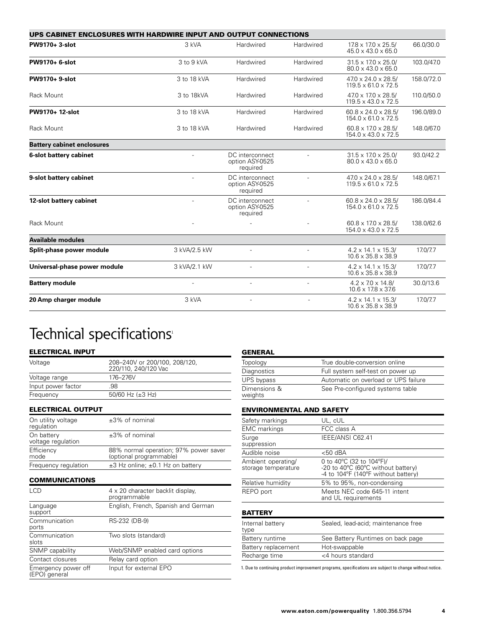| UPS CABINET ENCLOSURES WITH HARDWIRE INPUT AND OUTPUT CONNECTIONS |                |                                                |                |                                                                    |            |  |
|-------------------------------------------------------------------|----------------|------------------------------------------------|----------------|--------------------------------------------------------------------|------------|--|
| PW9170+ 3-slot                                                    | 3 kVA          | Hardwired                                      | Hardwired      | $17.8 \times 17.0 \times 25.5/$<br>$45.0 \times 43.0 \times 65.0$  | 66.0/30.0  |  |
| PW9170+ 6-slot                                                    | $3$ to $9$ kVA | Hardwired                                      | Hardwired      | $31.5 \times 17.0 \times 25.0$<br>$80.0 \times 43.0 \times 65.0$   | 103.0/47.0 |  |
| PW9170+ 9-slot                                                    | 3 to 18 kVA    | Hardwired                                      | Hardwired      | $47.0 \times 24.0 \times 28.5/$<br>$119.5 \times 61.0 \times 72.5$ | 158.0/72.0 |  |
| Rack Mount                                                        | 3 to 18kVA     | Hardwired                                      | Hardwired      | $47.0 \times 17.0 \times 28.5$<br>$119.5 \times 43.0 \times 72.5$  | 110.0/50.0 |  |
| PW9170+ 12-slot                                                   | 3 to 18 kVA    | Hardwired                                      | Hardwired      | $60.8 \times 24.0 \times 28.5$<br>$154.0 \times 61.0 \times 72.5$  | 196.0/89.0 |  |
| Rack Mount                                                        | 3 to 18 kVA    | Hardwired                                      | Hardwired      | $60.8 \times 17.0 \times 28.5$<br>$154.0 \times 43.0 \times 72.5$  | 148.0/67.0 |  |
| <b>Battery cabinet enclosures</b>                                 |                |                                                |                |                                                                    |            |  |
| 6-slot battery cabinet                                            |                | DC interconnect<br>option ASY-0525<br>required |                |                                                                    | 93.0/42.2  |  |
| 9-slot battery cabinet                                            | $\overline{a}$ | DC interconnect<br>option ASY-0525<br>required | ÷              | $47.0 \times 24.0 \times 28.5$<br>$119.5 \times 61.0 \times 72.5$  | 148.0/67.1 |  |
| 12-slot battery cabinet                                           | ÷,             | DC interconnect<br>option ASY-0525<br>required | ÷              | $60.8 \times 24.0 \times 28.5$<br>$154.0 \times 61.0 \times 72.5$  | 186.0/84.4 |  |
| Rack Mount                                                        |                |                                                |                | $60.8 \times 17.0 \times 28.5$<br>$154.0 \times 43.0 \times 72.5$  | 138.0/62.6 |  |
| <b>Available modules</b>                                          |                |                                                |                |                                                                    |            |  |
| Split-phase power module                                          | 3 kVA/2.5 kW   | $\overline{\phantom{a}}$                       | $\overline{a}$ | $4.2 \times 14.1 \times 15.3$<br>$10.6 \times 35.8 \times 38.9$    | 17.0/7.7   |  |
| Universal-phase power module                                      | 3 kVA/2.1 kW   |                                                |                | $4.2 \times 14.1 \times 15.3$<br>$10.6 \times 35.8 \times 38.9$    | 17.0/7.7   |  |
| <b>Battery module</b>                                             |                | $\overline{\phantom{a}}$                       |                | $4.2 \times 7.0 \times 14.8$<br>$10.6 \times 17.8 \times 37.6$     | 30.0/13.6  |  |
| 20 Amp charger module                                             | 3 kVA          | $\overline{\phantom{a}}$                       |                | $4.2 \times 14.1 \times 15.3/$<br>$10.6 \times 35.8 \times 38.9$   | 17.0/7.7   |  |

## Technical specifications<sup>1</sup>

#### ELECTRICAL INPUT

| Voltage            | 208-240V or 200/100, 208/120,<br>220/110, 240/120 Vac |
|--------------------|-------------------------------------------------------|
| Voltage range      | 176-276V                                              |
| Input power factor | .98                                                   |
| Frequency          | 50/60 Hz $(\pm 3$ Hz)                                 |
|                    |                                                       |

ELECTRICAL OUTPUT

| On utility voltage<br>requlation | $\pm 3\%$ of nominal                                             |
|----------------------------------|------------------------------------------------------------------|
| On battery<br>voltage regulation | $\pm 3\%$ of nominal                                             |
| Efficiency<br>mode               | 88% normal operation; 97% power saver<br>(optional programmable) |
| Frequency regulation             | $\pm$ 3 Hz online; $\pm$ 0.1 Hz on battery                       |

#### COMMUNICATIONS

| 4 x 20 character backlit display.<br>programmable |
|---------------------------------------------------|
| English, French, Spanish and German               |
| RS-232 (DB-9)                                     |
| Two slots (standard)                              |
| Web/SNMP enabled card options                     |
| Relay card option                                 |
| Input for external EPO                            |
|                                                   |

 $\overline{\phantom{a}}$ 

| Topology                | True double-conversion online        |
|-------------------------|--------------------------------------|
| Diagnostics             | Full system self-test on power up    |
| UPS bypass              | Automatic on overload or UPS failure |
| Dimensions &<br>weights | See Pre-configured systems table     |

#### ENVIRONMENTAL AND SAFETY

| Safety markings                           | UL, cUL                                                                                               |
|-------------------------------------------|-------------------------------------------------------------------------------------------------------|
| <b>EMC</b> markings                       | FCC class A                                                                                           |
| Surge<br>suppression                      | IEEE/ANSI C62.41                                                                                      |
| Audible noise                             | $<$ 50 dBA                                                                                            |
| Ambient operating/<br>storage temperature | 0 to 40°C (32 to 104°F)/<br>-20 to 40°C (60°C without battery)<br>-4 to 104°F (140°F without battery) |
| Relative humidity                         | 5% to 95%, non-condensing                                                                             |
| REPO port                                 | Meets NEC code 645-11 intent<br>and UL requirements                                                   |
| <b>BATTERY</b>                            |                                                                                                       |
| Internal battery<br>type                  | Sealed, lead-acid; maintenance free                                                                   |
| Battery runtime                           | See Battery Runtimes on back page                                                                     |
| Battery replacement                       | Hot-swappable                                                                                         |
| Recharge time                             | <4 hours standard                                                                                     |

1. Due to continuing product improvement programs, specifications are subject to change without notice.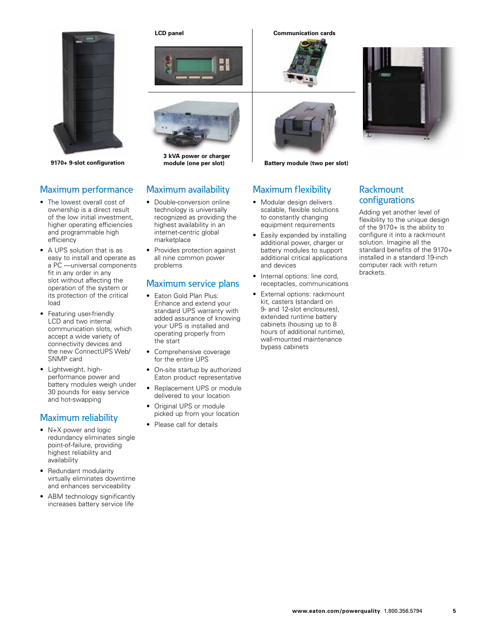

**9170+ 9-slot configuration module (one per slot)**

#### Maximum performance

- The lowest overall cost of ownership is a direct result of the low initial investment, higher operating efficiencies and programmable high efficiency
- • A UPS solution that is as easy to install and operate as a PC —universal components fit in any order in any slot without affecting the operation of the system or its protection of the critical load
- • Featuring user-friendly LCD and two internal communication slots, which accept a wide variety of connectivity devices and the new ConnectUPS Web/ SNMP card
- Lightweight, highperformance power and battery modules weigh under 30 pounds for easy service and hot-swapping

#### Maximum reliability

- N+X power and logic redundancy eliminates single point-of-failure, providing highest reliability and availability
- Redundant modularity virtually eliminates downtime and enhances serviceability
- ABM technology significantly increases battery service life





**3 kVA power or charger** 

#### Maximum availability

- Double-conversion online technology is universally recognized as providing the highest availability in an internet-centric global marketplace
- Provides protection against all nine common power problems

#### Maximum service plans

- Eaton Gold Plan Plus: Enhance and extend your standard UPS warranty with added assurance of knowing your UPS is installed and operating properly from the start
- Comprehensive coverage for the entire UPS
- On-site startup by authorized Eaton product representative
- Replacement UPS or module delivered to your location
- Original UPS or module picked up from your location
- Please call for details

**LCD panel Communication cards**





**Battery module (two per slot)**

#### Maximum flexibility

- Modular design delivers scalable, flexible solutions to constantly changing equipment requirements
- Easily expanded by installing additional power, charger or battery modules to support additional critical applications and devices
- Internal options: line cord, receptacles, communications
- External options: rackmount kit, casters (standard on 9- and 12-slot enclosures), extended runtime battery cabinets (housing up to 8 hours of additional runtime), wall-mounted maintenance bypass cabinets



#### **Rackmount** configurations

Adding yet another level of flexibility to the unique design of the 9170+ is the ability to configure it into a rackmount solution. Imagine all the standard benefits of the 9170+ installed in a standard 19-inch computer rack with return brackets.